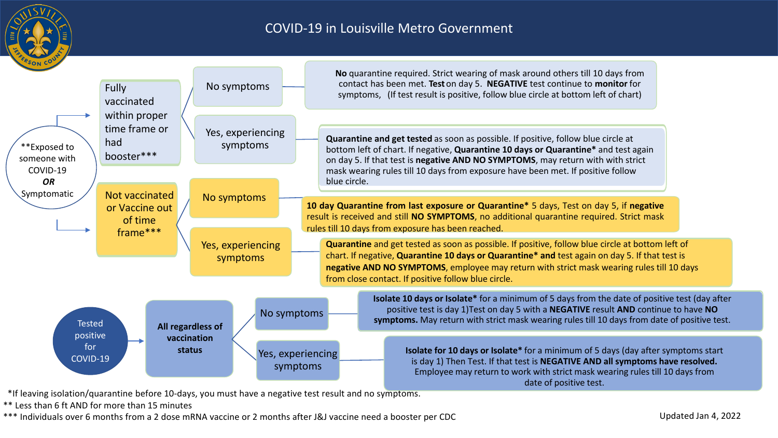

#### COVID-19 in Louisville Metro Government



\*If leaving isolation/quarantine before 10-days, you must have a negative test result and no symptoms.

\*\* Less than 6 ft AND for more than 15 minutes

\*\*\* Individuals over 6 months from a 2 dose mRNA vaccine or 2 months after J&J vaccine need a booster per CDC Updated Jan 4, 2022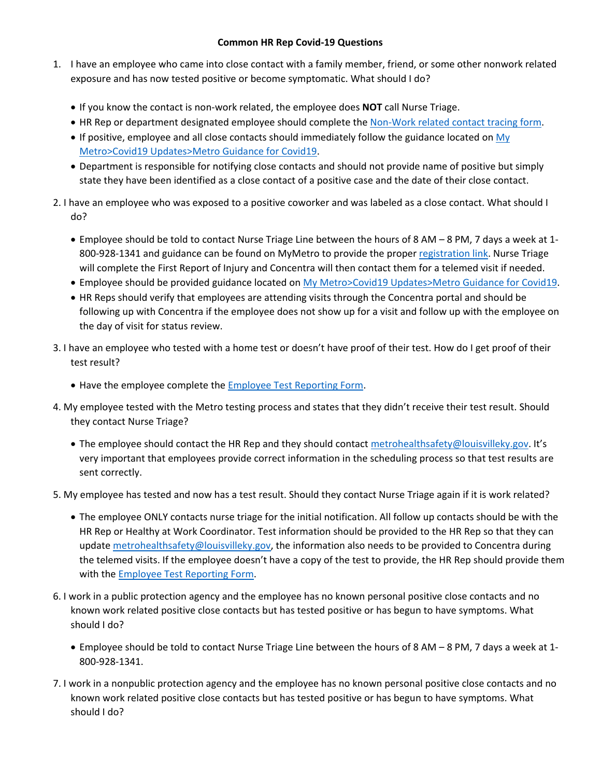#### **Common HR Rep Covid-19 Questions**

- 1. I have an employee who came into close contact with a family member, friend, or some other nonwork related exposure and has now tested positive or become symptomatic. What should I do?
	- If you know the contact is non-work related, the employee does **NOT** call Nurse Triage.
	- HR Rep or department designated employee should complete the Non-Work related contact tracing form.
	- If positive, employee and all close contacts should immediately follow the guidance located on My Metro>Covid19 Updates>Metro Guidance for Covid19.
	- Department is responsible for notifying close contacts and should not provide name of positive but simply state they have been identified as a close contact of a positive case and the date of their close contact.
- 2. I have an employee who was exposed to a positive coworker and was labeled as a close contact. What should I do?
	- Employee should be told to contact Nurse Triage Line between the hours of 8 AM 8 PM, 7 days a week at 1- 800-928-1341 and guidance can be found on MyMetro to provide the proper registration link. Nurse Triage will complete the First Report of Injury and Concentra will then contact them for a telemed visit if needed.
	- Employee should be provided guidance located on My Metro>Covid19 Updates>Metro Guidance for Covid19.
	- HR Reps should verify that employees are attending visits through the Concentra portal and should be following up with Concentra if the employee does not show up for a visit and follow up with the employee on the day of visit for status review.
- 3. I have an employee who tested with a home test or doesn't have proof of their test. How do I get proof of their test result?
	- Have the employee complete the Employee Test Reporting Form.
- 4. My employee tested with the Metro testing process and states that they didn't receive their test result. Should they contact Nurse Triage?
	- The employee should contact the HR Rep and they should contact metrohealthsafety@louisvilleky.gov. It's very important that employees provide correct information in the scheduling process so that test results are sent correctly.
- 5. My employee has tested and now has a test result. Should they contact Nurse Triage again if it is work related?
	- The employee ONLY contacts nurse triage for the initial notification. All follow up contacts should be with the HR Rep or Healthy at Work Coordinator. Test information should be provided to the HR Rep so that they can update metrohealthsafety@louisvilleky.gov, the information also needs to be provided to Concentra during the telemed visits. If the employee doesn't have a copy of the test to provide, the HR Rep should provide them with the **Employee Test Reporting Form.**
- 6. I work in a public protection agency and the employee has no known personal positive close contacts and no known work related positive close contacts but has tested positive or has begun to have symptoms. What should I do?
	- Employee should be told to contact Nurse Triage Line between the hours of 8 AM 8 PM, 7 days a week at 1- 800-928-1341.
- 7. I work in a nonpublic protection agency and the employee has no known personal positive close contacts and no known work related positive close contacts but has tested positive or has begun to have symptoms. What should I do?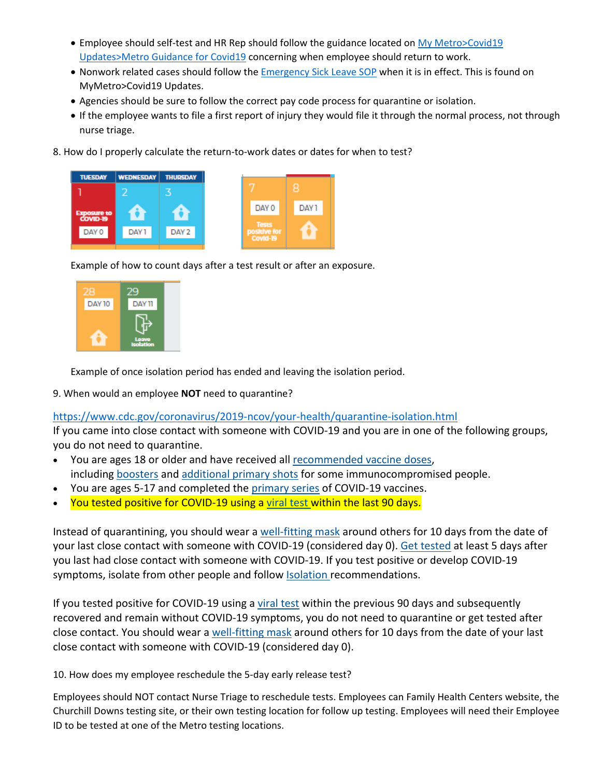- Employee should self-test and HR Rep should follow the guidance located on My Metro>Covid19 Updates>Metro Guidance for Covid19 concerning when employee should return to work.
- Nonwork related cases should follow the Emergency Sick Leave SOP when it is in effect. This is found on MyMetro>Covid19 Updates.
- Agencies should be sure to follow the correct pay code process for quarantine or isolation.
- If the employee wants to file a first report of injury they would file it through the normal process, not through nurse triage.
- 8. How do I properly calculate the return-to-work dates or dates for when to test?





Example of how to count days after a test result or after an exposure.



Example of once isolation period has ended and leaving the isolation period.

9. When would an employee **NOT** need to quarantine?

#### https://www.cdc.gov/coronavirus/2019-ncov/your-health/quarantine-isolation.html

If you came into close contact with someone with COVID-19 and you are in one of the following groups, you do not need to quarantine.

- You are ages 18 or older and have received all recommended vaccine doses, including boosters and additional primary shots for some immunocompromised people.
- You are ages 5-17 and completed the primary series of COVID-19 vaccines.
- You tested positive for COVID-19 using a viral test within the last 90 days.

Instead of quarantining, you should wear a well-fitting mask around others for 10 days from the date of your last close contact with someone with COVID-19 (considered day 0). Get tested at least 5 days after you last had close contact with someone with COVID-19. If you test positive or develop COVID-19 symptoms, isolate from other people and follow Isolation recommendations.

If you tested positive for COVID-19 using a viral test within the previous 90 days and subsequently recovered and remain without COVID-19 symptoms, you do not need to quarantine or get tested after close contact. You should wear a well-fitting mask around others for 10 days from the date of your last close contact with someone with COVID-19 (considered day 0).

10. How does my employee reschedule the 5-day early release test?

Employees should NOT contact Nurse Triage to reschedule tests. Employees can Family Health Centers website, the Churchill Downs testing site, or their own testing location for follow up testing. Employees will need their Employee ID to be tested at one of the Metro testing locations.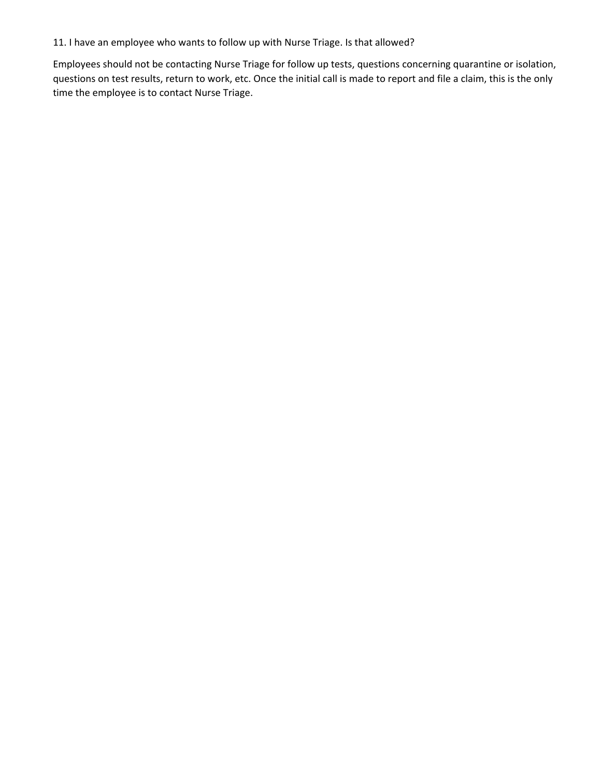11. I have an employee who wants to follow up with Nurse Triage. Is that allowed?

Employees should not be contacting Nurse Triage for follow up tests, questions concerning quarantine or isolation, questions on test results, return to work, etc. Once the initial call is made to report and file a claim, this is the only time the employee is to contact Nurse Triage.